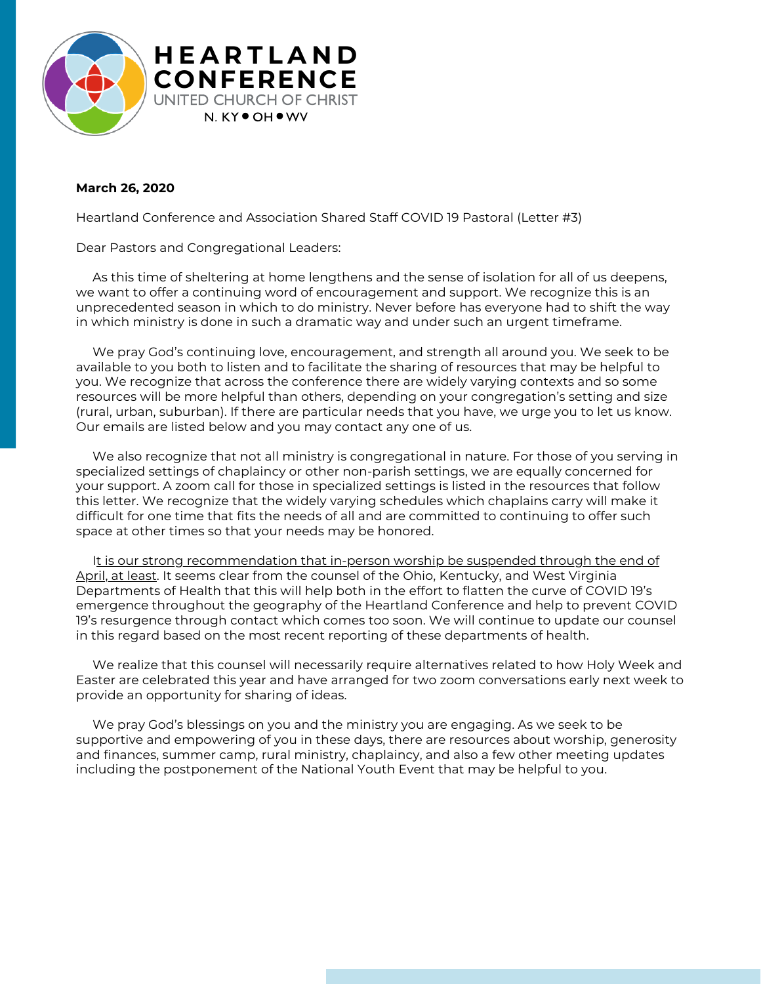

## **March 26, 2020**

Heartland Conference and Association Shared Staff COVID 19 Pastoral (Letter #3)

Dear Pastors and Congregational Leaders:

As this time of sheltering at home lengthens and the sense of isolation for all of us deepens, we want to offer a continuing word of encouragement and support. We recognize this is an unprecedented season in which to do ministry. Never before has everyone had to shift the way in which ministry is done in such a dramatic way and under such an urgent timeframe.

We pray God's continuing love, encouragement, and strength all around you. We seek to be available to you both to listen and to facilitate the sharing of resources that may be helpful to you. We recognize that across the conference there are widely varying contexts and so some resources will be more helpful than others, depending on your congregation's setting and size (rural, urban, suburban). If there are particular needs that you have, we urge you to let us know. Our emails are listed below and you may contact any one of us.

We also recognize that not all ministry is congregational in nature. For those of you serving in specialized settings of chaplaincy or other non-parish settings, we are equally concerned for your support. A zoom call for those in specialized settings is listed in the resources that follow this letter. We recognize that the widely varying schedules which chaplains carry will make it difficult for one time that fits the needs of all and are committed to continuing to offer such space at other times so that your needs may be honored.

It is our strong recommendation that in-person worship be suspended through the end of April, at least. It seems clear from the counsel of the Ohio, Kentucky, and West Virginia Departments of Health that this will help both in the effort to flatten the curve of COVID 19's emergence throughout the geography of the Heartland Conference and help to prevent COVID 19's resurgence through contact which comes too soon. We will continue to update our counsel in this regard based on the most recent reporting of these departments of health.

We realize that this counsel will necessarily require alternatives related to how Holy Week and Easter are celebrated this year and have arranged for two zoom conversations early next week to provide an opportunity for sharing of ideas.

We pray God's blessings on you and the ministry you are engaging. As we seek to be supportive and empowering of you in these days, there are resources about worship, generosity and finances, summer camp, rural ministry, chaplaincy, and also a few other meeting updates including the postponement of the National Youth Event that may be helpful to you.